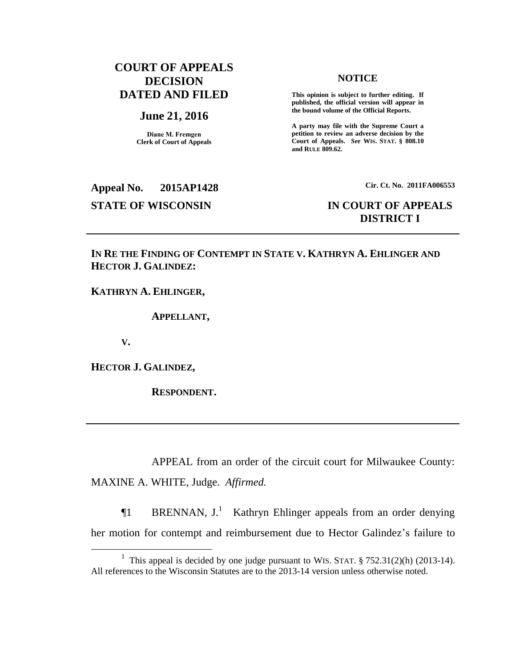## **COURT OF APPEALS DECISION DATED AND FILED**

#### **June 21, 2016**

**Diane M. Fremgen Clerk of Court of Appeals** **NOTICE**

**This opinion is subject to further editing. If published, the official version will appear in the bound volume of the Official Reports.** 

**A party may file with the Supreme Court a petition to review an adverse decision by the Court of Appeals.** *See* **WIS. STAT. § 808.10 and RULE 809.62.** 

**Appeal No. 2015AP1428 Cir. Ct. No. 2011FA006553 STATE OF WISCONSIN IN COURT OF APPEALS**

# **DISTRICT I**

## **IN RE THE FINDING OF CONTEMPT IN STATE V. KATHRYN A. EHLINGER AND HECTOR J. GALINDEZ:**

**KATHRYN A. EHLINGER,**

**APPELLANT,**

**V.**

 $\overline{a}$ 

**HECTOR J. GALINDEZ,**

**RESPONDENT.**

APPEAL from an order of the circuit court for Milwaukee County: MAXINE A. WHITE, Judge. *Affirmed.*

**The BRENNAN, J.**<sup>1</sup> Kathryn Ehlinger appeals from an order denying her motion for contempt and reimbursement due to Hector Galindez's failure to

<sup>&</sup>lt;sup>1</sup> This appeal is decided by one judge pursuant to WIS. STAT.  $\S 752.31(2)(h)$  (2013-14). All references to the Wisconsin Statutes are to the 2013-14 version unless otherwise noted.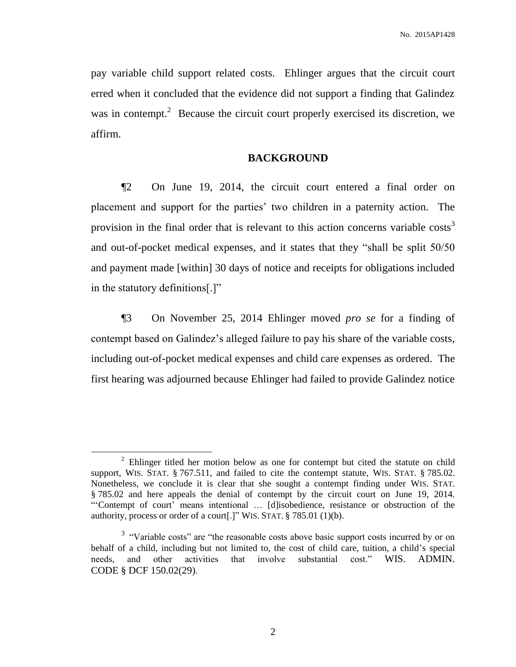pay variable child support related costs. Ehlinger argues that the circuit court erred when it concluded that the evidence did not support a finding that Galindez was in contempt.<sup>2</sup> Because the circuit court properly exercised its discretion, we affirm.

### **BACKGROUND**

¶2 On June 19, 2014, the circuit court entered a final order on placement and support for the parties' two children in a paternity action. The provision in the final order that is relevant to this action concerns variable  $costs<sup>3</sup>$ and out-of-pocket medical expenses, and it states that they "shall be split 50/50 and payment made [within] 30 days of notice and receipts for obligations included in the statutory definitions[.]"

¶3 On November 25, 2014 Ehlinger moved *pro se* for a finding of contempt based on Galindez's alleged failure to pay his share of the variable costs, including out-of-pocket medical expenses and child care expenses as ordered. The first hearing was adjourned because Ehlinger had failed to provide Galindez notice

 $\overline{a}$ 

<sup>&</sup>lt;sup>2</sup> Ehlinger titled her motion below as one for contempt but cited the statute on child support, WIS. STAT. § 767.511, and failed to cite the contempt statute, WIS. STAT. § 785.02. Nonetheless, we conclude it is clear that she sought a contempt finding under WIS. STAT. § 785.02 and here appeals the denial of contempt by the circuit court on June 19, 2014. "'Contempt of court' means intentional … [d]isobedience, resistance or obstruction of the authority, process or order of a court[.]" WIS. STAT. § 785.01 (1)(b).

<sup>&</sup>lt;sup>3</sup> "Variable costs" are "the reasonable costs above basic support costs incurred by or on behalf of a child, including but not limited to, the cost of child care, tuition, a child's special needs, and other activities that involve substantial cost." WIS. [ADMIN.](https://1.next.westlaw.com/Link/Document/FullText?findType=L&pubNum=1012613&cite=WIADSDCF150.02&originatingDoc=If0924936a14d11e4b4bafa136b480ad2&refType=LQ&originationContext=document&transitionType=DocumentItem&contextData=(sc.Search)) CODE § DCF [150.02\(29\)](https://1.next.westlaw.com/Link/Document/FullText?findType=L&pubNum=1012613&cite=WIADSDCF150.02&originatingDoc=If0924936a14d11e4b4bafa136b480ad2&refType=LQ&originationContext=document&transitionType=DocumentItem&contextData=(sc.Search)).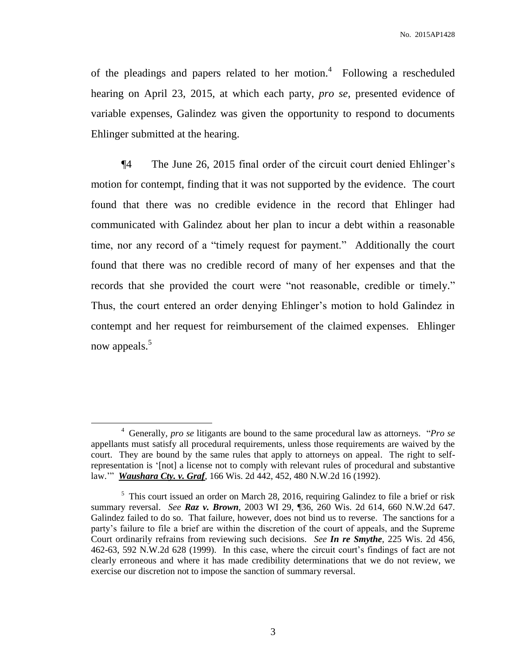of the pleadings and papers related to her motion.<sup>4</sup> Following a rescheduled hearing on April 23, 2015, at which each party, *pro se*, presented evidence of variable expenses, Galindez was given the opportunity to respond to documents Ehlinger submitted at the hearing.

¶4 The June 26, 2015 final order of the circuit court denied Ehlinger's motion for contempt, finding that it was not supported by the evidence. The court found that there was no credible evidence in the record that Ehlinger had communicated with Galindez about her plan to incur a debt within a reasonable time, nor any record of a "timely request for payment." Additionally the court found that there was no credible record of many of her expenses and that the records that she provided the court were "not reasonable, credible or timely." Thus, the court entered an order denying Ehlinger's motion to hold Galindez in contempt and her request for reimbursement of the claimed expenses. Ehlinger now appeals.<sup>5</sup>

 $\overline{a}$ 

<sup>4</sup> Generally, *pro se* litigants are bound to the same procedural law as attorneys. "*Pro se* appellants must satisfy all procedural requirements, unless those requirements are waived by the court. They are bound by the same rules that apply to attorneys on appeal. The right to selfrepresentation is '[not] a license not to comply with relevant rules of procedural and substantive law.'" *Waushara Cty. v. Graf*, 166 Wis. 2d 442, 452, 480 N.W.2d 16 (1992).

<sup>&</sup>lt;sup>5</sup> This court issued an order on March 28, 2016, requiring Galindez to file a brief or risk summary reversal. *See Raz v. Brown*, 2003 WI 29, ¶36, 260 Wis. 2d 614, 660 N.W.2d 647. Galindez failed to do so. That failure, however, does not bind us to reverse. The sanctions for a party's failure to file a brief are within the discretion of the court of appeals, and the Supreme Court ordinarily refrains from reviewing such decisions. *See In re Smythe*, 225 Wis. 2d 456, 462-63, 592 N.W.2d 628 (1999). In this case, where the circuit court's findings of fact are not clearly erroneous and where it has made credibility determinations that we do not review, we exercise our discretion not to impose the sanction of summary reversal.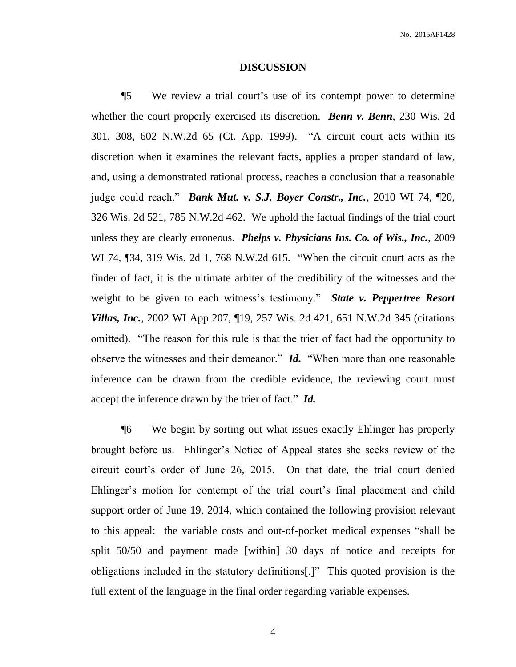#### **DISCUSSION**

¶5 We review a trial court's use of its contempt power to determine whether the court properly exercised its discretion. *Benn v. Benn*, 230 Wis. 2d 301, 308, 602 N.W.2d 65 (Ct. App. 1999). "A circuit court acts within its discretion when it examines the relevant facts, applies a proper standard of law, and, using a demonstrated rational process, reaches a conclusion that a reasonable judge could reach." *Bank Mut. v. S.J. Boyer Constr., Inc.*, 2010 WI 74, ¶20, 326 Wis. 2d 521, 785 N.W.2d 462. We uphold the factual findings of the trial court unless they are clearly erroneous. *[Phelps v. Physicians Ins. Co. of Wis., Inc.](https://1.next.westlaw.com/Link/Document/FullText?findType=Y&serNum=2019341313&pubNum=0000595&originatingDoc=I4e9f2c37fa4111e4a807ad48145ed9f1&refType=RP&originationContext=document&transitionType=DocumentItem&contextData=(sc.Search)),* 2009 WI 74, ¶34, 319 Wis. [2d 1, 768 N.W.2d 615.](https://1.next.westlaw.com/Link/Document/FullText?findType=Y&serNum=2019341313&pubNum=0000595&originatingDoc=I4e9f2c37fa4111e4a807ad48145ed9f1&refType=RP&originationContext=document&transitionType=DocumentItem&contextData=(sc.Search)) "When the circuit court acts as the finder of fact, it is the ultimate arbiter of the credibility of the witnesses and the weight to be given to each witness's testimony." *State v. Peppertree Resort Villas, Inc.*, 2002 WI App 207, ¶19, 257 Wis. 2d 421, 651 N.W.2d 345 (citations omitted). "The reason for this rule is that the trier of fact had the opportunity to observe the witnesses and their demeanor." *Id.* "When more than one reasonable inference can be drawn from the credible evidence, the reviewing court must accept the inference drawn by the trier of fact." *Id.*

¶6 We begin by sorting out what issues exactly Ehlinger has properly brought before us. Ehlinger's Notice of Appeal states she seeks review of the circuit court's order of June 26, 2015. On that date, the trial court denied Ehlinger's motion for contempt of the trial court's final placement and child support order of June 19, 2014, which contained the following provision relevant to this appeal: the variable costs and out-of-pocket medical expenses "shall be split 50/50 and payment made [within] 30 days of notice and receipts for obligations included in the statutory definitions[.]" This quoted provision is the full extent of the language in the final order regarding variable expenses.

4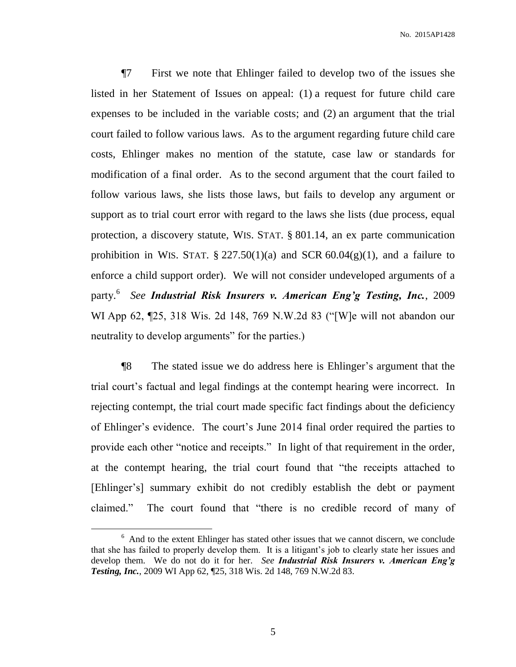¶7 First we note that Ehlinger failed to develop two of the issues she listed in her Statement of Issues on appeal: (1) a request for future child care expenses to be included in the variable costs; and (2) an argument that the trial court failed to follow various laws. As to the argument regarding future child care costs, Ehlinger makes no mention of the statute, case law or standards for modification of a final order. As to the second argument that the court failed to follow various laws, she lists those laws, but fails to develop any argument or support as to trial court error with regard to the laws she lists (due process, equal protection, a discovery statute, WIS. STAT. § 801.14, an ex parte communication prohibition in WIS. STAT.  $\S 227.50(1)(a)$  and SCR 60.04(g)(1), and a failure to enforce a child support order). We will not consider undeveloped arguments of a party.<sup>6</sup> *See Industrial Risk Insurers v. American Eng'g Testing, Inc.*, 2009 WI App 62, ¶25, 318 Wis. 2d 148, 769 N.W.2d 83 ("[W]e will not abandon our neutrality to develop arguments" for the parties.)

¶8 The stated issue we do address here is Ehlinger's argument that the trial court's factual and legal findings at the contempt hearing were incorrect. In rejecting contempt, the trial court made specific fact findings about the deficiency of Ehlinger's evidence. The court's June 2014 final order required the parties to provide each other "notice and receipts." In light of that requirement in the order, at the contempt hearing, the trial court found that "the receipts attached to [Ehlinger's] summary exhibit do not credibly establish the debt or payment claimed." The court found that "there is no credible record of many of

 $\overline{a}$ 

5

<sup>&</sup>lt;sup>6</sup> And to the extent Ehlinger has stated other issues that we cannot discern, we conclude that she has failed to properly develop them. It is a litigant's job to clearly state her issues and develop them. We do not do it for her. *See Industrial Risk Insurers v. American Eng'g Testing, Inc.*, 2009 WI App 62, ¶25, 318 Wis. 2d 148, 769 N.W.2d 83.